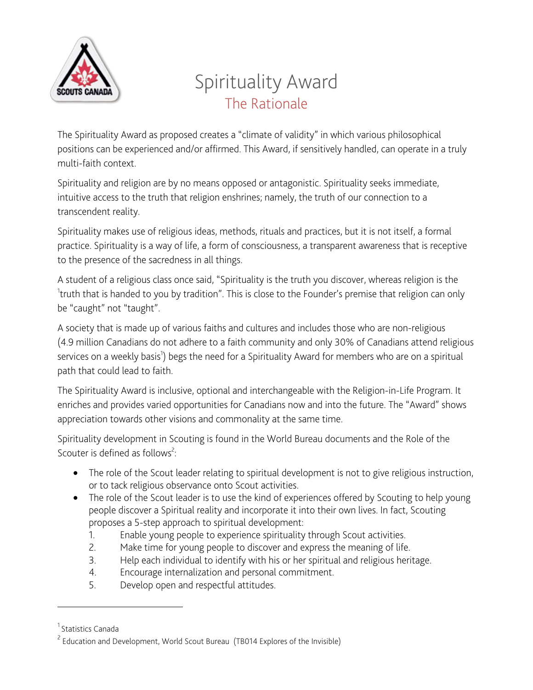

# Spirituality Award The Rationale

The Spirituality Award as proposed creates a "climate of validity" in which various philosophical positions can be experienced and/or affirmed. This Award, if sensitively handled, can operate in a truly multi-faith context.

Spirituality and religion are by no means opposed or antagonistic. Spirituality seeks immediate, intuitive access to the truth that religion enshrines; namely, the truth of our connection to a transcendent reality.

Spirituality makes use of religious ideas, methods, rituals and practices, but it is not itself, a formal practice. Spirituality is a way of life, a form of consciousness, a transparent awareness that is receptive to the presence of the sacredness in all things.

A student of a religious class once said, "Spirituality is the truth you discover, whereas religion is the <sup>1</sup>truth that is handed to you by tradition". This is close to the Founder's premise that religion can only be "caught" not "taught".

A society that is made up of various faiths and cultures and includes those who are non-religious (4.9 million Canadians do not adhere to a faith community and only 30% of Canadians attend religious services on a weekly basis<sup>1</sup>) begs the need for a Spirituality Award for members who are on a spiritual path that could lead to faith.

The Spirituality Award is inclusive, optional and interchangeable with the Religion-in-Life Program. It enriches and provides varied opportunities for Canadians now and into the future. The "Award" shows appreciation towards other visions and commonality at the same time.

Spirituality development in Scouting is found in the World Bureau documents and the Role of the Scouter is defined as follows<sup>2</sup>:

- The role of the Scout leader relating to spiritual development is not to give religious instruction, or to tack religious observance onto Scout activities.
- The role of the Scout leader is to use the kind of experiences offered by Scouting to help young people discover a Spiritual reality and incorporate it into their own lives. In fact, Scouting proposes a 5-step approach to spiritual development:
	- 1. Enable young people to experience spirituality through Scout activities.
	- 2. Make time for young people to discover and express the meaning of life.
	- 3. Help each individual to identify with his or her spiritual and religious heritage.
	- 4. Encourage internalization and personal commitment.
	- 5. Develop open and respectful attitudes.

<u> 1989 - Johann Stein, fransk politik (d. 1989)</u>

<sup>&</sup>lt;sup>1</sup> Statistics Canada

<sup>&</sup>lt;sup>2</sup> Education and Development, World Scout Bureau (TB014 Explores of the Invisible)